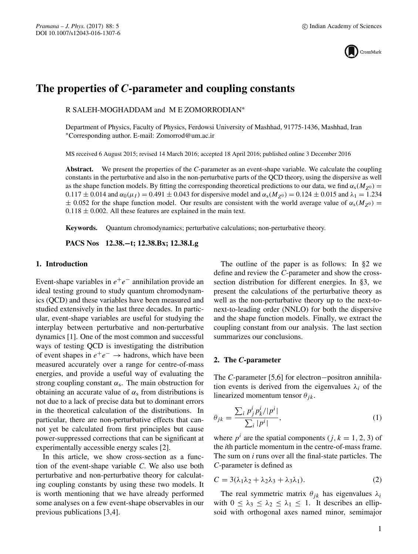

# **The properties of** *C***-parameter and coupling constants**

R SALEH-MOGHADDAM and M E ZOMORRODIAN∗

Department of Physics, Faculty of Physics, Ferdowsi University of Mashhad, 91775-1436, Mashhad, Iran ∗Corresponding author. E-mail: Zomorrod@um.ac.ir

MS received 6 August 2015; revised 14 March 2016; accepted 18 April 2016; published online 3 December 2016

**Abstract.** We present the properties of the *C*-parameter as an event-shape variable. We calculate the coupling constants in the perturbative and also in the non-perturbative parts of the QCD theory, using the dispersive as well as the shape function models. By fitting the corresponding theoretical predictions to our data, we find  $\alpha_s(M_{Z0}) =$  $0.117 \pm 0.014$  and  $\alpha_0(\mu_1) = 0.491 \pm 0.043$  for dispersive model and  $\alpha_s(M_{Z_0}) = 0.124 \pm 0.015$  and  $\lambda_1 = 1.234$  $\pm$  0.052 for the shape function model. Our results are consistent with the world average value of  $\alpha_s(M_{Z0}) =$  $0.118 \pm 0.002$ . All these features are explained in the main text.

**Keywords.** Quantum chromodynamics; perturbative calculations; non-perturbative theory.

**PACS Nos 12.38.−t; 12.38.Bx; 12.38.Lg**

## **1. Introduction**

Event-shape variables in  $e^+e^-$  annihilation provide an ideal testing ground to study quantum chromodynamics (QCD) and these variables have been measured and studied extensively in the last three decades. In particular, event-shape variables are useful for studying the interplay between perturbative and non-perturbative dynamics [1]. One of the most common and successful ways of testing QCD is investigating the distribution of event shapes in  $e^+e^-$  → hadrons, which have been measured accurately over a range for centre-of-mass energies, and provide a useful way of evaluating the strong coupling constant  $\alpha_s$ . The main obstruction for obtaining an accurate value of  $\alpha_s$  from distributions is not due to a lack of precise data but to dominant errors in the theoretical calculation of the distributions. In particular, there are non-perturbative effects that cannot yet be calculated from first principles but cause power-suppressed corrections that can be significant at experimentally accessible energy scales [2].

In this article, we show cross-section as a function of the event-shape variable *C*. We also use both perturbative and non-perturbative theory for calculating coupling constants by using these two models. It is worth mentioning that we have already performed some analyses on a few event-shape observables in our previous publications [3,4].

The outline of the paper is as follows: In §2 we define and review the *C*-parameter and show the crosssection distribution for different energies. In §3, we present the calculations of the perturbative theory as well as the non-perturbative theory up to the next-tonext-to-leading order (NNLO) for both the dispersive and the shape function models. Finally, we extract the coupling constant from our analysis. The last section summarizes our conclusions.

#### **2. The** *C***-parameter**

The *C*-parameter [5,6] for electron−positron annihilation events is derived from the eigenvalues  $\lambda_i$  of the linearized momentum tensor  $\theta_{jk}$ .

$$
\theta_{jk} = \frac{\sum_{i} p_j^i p_k^i / |p^i|}{\sum_{i} |p^i|},\tag{1}
$$

where  $p^i$  are the spatial components (*j*,  $k = 1, 2, 3$ ) of the *i*th particle momentum in the centre-of-mass frame. The sum on *i* runs over all the final-state particles. The *C*-parameter is defined as

$$
C = 3(\lambda_1 \lambda_2 + \lambda_2 \lambda_3 + \lambda_3 \lambda_1). \tag{2}
$$

The real symmetric matrix  $\theta_{ik}$  has eigenvalues  $\lambda_i$ with  $0 \leq \lambda_3 \leq \lambda_2 \leq \lambda_1 \leq 1$ . It describes an ellipsoid with orthogonal axes named minor, semimajor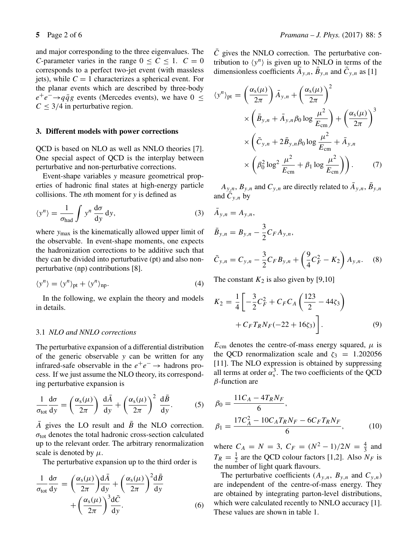and major corresponding to the three eigenvalues. The *C*-parameter varies in the range  $0 \le C \le 1$ .  $C = 0$ corresponds to a perfect two-jet event (with massless jets), while  $C = 1$  characterizes a spherical event. For the planar events which are described by three-body  $e^+e^- \rightarrow q\bar{q}g$  events (Mercedes events), we have  $0 \leq$  $C \leq 3/4$  in perturbative region.

#### **3. Different models with power corrections**

QCD is based on NLO as well as NNLO theories [7]. One special aspect of QCD is the interplay between perturbative and non-perturbative corrections.

Event-shape variables *y* measure geometrical properties of hadronic final states at high-energy particle collisions. The *n*th moment for *y* is defined as

$$
\langle y^n \rangle = \frac{1}{\sigma_{\text{had}}} \int y^n \frac{d\sigma}{dy} dy, \tag{3}
$$

where  $y_{\text{max}}$  is the kinematically allowed upper limit of the observable. In event-shape moments, one expects the hadronization corrections to be additive such that they can be divided into perturbative (pt) and also nonperturbative (np) contributions [8].

$$
\langle y^n \rangle = \langle y^n \rangle_{\text{pt}} + \langle y^n \rangle_{\text{np}}.\tag{4}
$$

In the following, we explain the theory and models in details.

# 3.1 *NLO and NNLO corrections*

The perturbative expansion of a differential distribution of the generic observable *y* can be written for any infrared-safe observable in the  $e^+e^- \rightarrow$  hadrons process. If we just assume the NLO theory, its corresponding perturbative expansion is

$$
\frac{1}{\sigma_{\text{tot}}} \frac{d\sigma}{dy} = \left(\frac{\alpha_s(\mu)}{2\pi}\right) \frac{d\bar{A}}{dy} + \left(\frac{\alpha_s(\mu)}{2\pi}\right)^2 \frac{d\bar{B}}{dy}.
$$
 (5)

 $\overline{A}$  gives the LO result and  $\overline{B}$  the NLO correction.  $\sigma_{\text{tot}}$  denotes the total hadronic cross-section calculated up to the relevant order. The arbitrary renormalization scale is denoted by  $\mu$ .

The perturbative expansion up to the third order is

$$
\frac{1}{\sigma_{\text{tot}}} \frac{d\sigma}{dy} = \left(\frac{\alpha_s(\mu)}{2\pi}\right) \frac{d\bar{A}}{dy} + \left(\frac{\alpha_s(\mu)}{2\pi}\right)^2 \frac{d\bar{B}}{dy} + \left(\frac{\alpha_s(\mu)}{2\pi}\right)^3 \frac{d\bar{C}}{dy}.
$$
\n(6)

 $\overline{C}$  gives the NNLO correction. The perturbative contribution to  $\langle y^n \rangle$  is given up to NNLO in terms of the dimensionless coefficients  $\bar{A}_{y,n}$ ,  $\bar{B}_{y,n}$  and  $\bar{C}_{y,n}$  as [1]

$$
\langle y^n \rangle_{\text{pt}} = \left(\frac{\alpha_s(\mu)}{2\pi}\right) \bar{A}_{y,n} + \left(\frac{\alpha_s(\mu)}{2\pi}\right)^2
$$
  
 
$$
\times \left(\bar{B}_{y,n} + \bar{A}_{y,n}\beta_0 \log \frac{\mu^2}{E_{\text{cm}}}\right) + \left(\frac{\alpha_s(\mu)}{2\pi}\right)^3
$$
  
 
$$
\times \left(\bar{C}_{y,n} + 2\bar{B}_{y,n}\beta_0 \log \frac{\mu^2}{E_{\text{cm}}} + \bar{A}_{y,n}
$$
  
 
$$
\times \left(\beta_0^2 \log^2 \frac{\mu^2}{E_{\text{cm}}} + \beta_1 \log \frac{\mu^2}{E_{\text{cm}}}\right)\right). \tag{7}
$$

 $A_{y,n}$ ,  $B_{y,n}$  and  $C_{y,n}$  are directly related to  $\bar{A}_{y,n}$ ,  $\bar{B}_{y,n}$ and  $C_{v,n}$  by

$$
\bar{A}_{y,n} = A_{y,n},
$$
\n
$$
\bar{B}_{y,n} = B_{y,n} - \frac{3}{2} C_F A_{y,n},
$$
\n
$$
\bar{C}_{y,n} = C_{y,n} - \frac{3}{2} C_F B_{y,n} + \left(\frac{9}{4} C_F^2 - K_2\right) A_{y,n}.
$$

The constant  $K_2$  is also given by [9,10]

$$
K_2 = \frac{1}{4} \left[ -\frac{3}{2} C_F^2 + C_F C_A \left( \frac{123}{2} - 44 \zeta_3 \right) + C_F T_R N_F (-22 + 16 \zeta_3) \right].
$$
 (9)

 $(8)$ 

 $E_{\text{cm}}$  denotes the centre-of-mass energy squared,  $\mu$  is the QCD renormalization scale and  $\zeta_3 = 1.202056$ [11]. The NLO expression is obtained by suppressing all terms at order  $\alpha_s^3$ . The two coefficients of the QCD  $\beta$ -function are  $\beta$ -function are

$$
\beta_0 = \frac{11C_A - 4T_R N_F}{6},
$$
  
\n
$$
\beta_1 = \frac{17C_A^2 - 10C_A T_R N_F - 6C_F T_R N_F}{6},
$$
\n(10)

where  $C_A = N = 3$ ,  $C_F = (N^2 - 1)/2N = \frac{4}{3}$  and  $T = \frac{1}{2}$  and  $CCD$  as low fectors [1.2]. Also M, is  $T_R = \frac{1}{2}$  are the QCD colour factors [1,2]. Also  $N_F$  is the number of light quark flavours the number of light quark flavours.

The perturbative coefficients  $(A_{y,n}, B_{y,n}$  and  $C_{y,n}$ ) are independent of the centre-of-mass energy. They are obtained by integrating parton-level distributions, which were calculated recently to NNLO accuracy [1]. These values are shown in table 1.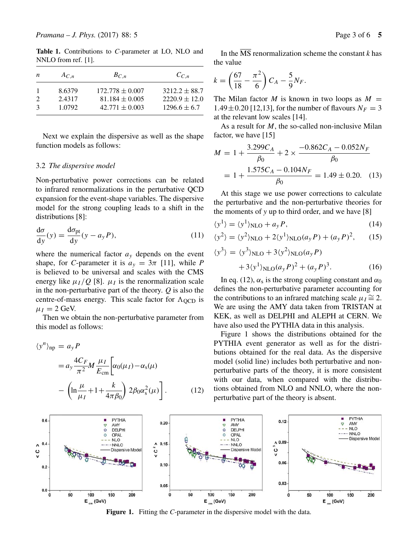**Table 1.** Contributions to *C*-parameter at LO, NLO and NNLO from ref. [1].

| n | $A_{C,n}$ | $B_{C.n}$           | $C_{C}$ n         |
|---|-----------|---------------------|-------------------|
|   | 8.6379    | $172.778 \pm 0.007$ | $3212.2 \pm 88.7$ |
|   | 2.4317    | $81.184 \pm 0.005$  | $2220.9 \pm 12.0$ |
|   | 1.0792    | $42.771 \pm 0.003$  | $1296.6 \pm 6.7$  |

Next we explain the dispersive as well as the shape function models as follows:

# 3.2 *The dispersi*v*e model*

Non-perturbative power corrections can be related to infrared renormalizations in the perturbative QCD expansion for the event-shape variables. The dispersive model for the strong coupling leads to a shift in the distributions [8]:

$$
\frac{d\sigma}{dy}(y) = \frac{d\sigma_{pt}}{dy}(y - a_y P),\tag{11}
$$

where the numerical factor  $a<sub>y</sub>$  depends on the event shape, for *C*-parameter it is  $a_y = 3\pi$  [11], while *P* is believed to be universal and scales with the CMS energy like  $\mu_I/Q$  [8].  $\mu_I$  is the renormalization scale in the non-perturbative part of the theory. *Q* is also the centre-of-mass energy. This scale factor for  $\Lambda_{\text{OCD}}$  is  $\mu_I = 2$  GeV.

Then we obtain the non-perturbative parameter from this model as follows:

$$
\langle y^n \rangle_{\rm np} = a_y P
$$
  
=  $a_y \frac{4C_F}{\pi^2} M \frac{\mu_I}{E_{\rm cm}} \left[ \alpha_0(\mu_I) - \alpha_s(\mu) \right]$   

$$
- \left( \ln \frac{\mu}{\mu_I} + 1 + \frac{k}{4\pi \beta_0} \right) 2\beta_0 \alpha_s^2(\mu) \right].
$$
 (12)

In the  $\overline{MS}$  renormalization scheme the constant *k* has the value

$$
k = \left(\frac{67}{18} - \frac{\pi^2}{6}\right)C_A - \frac{5}{9}N_F.
$$

The Milan factor M is known in two loops as  $M =$ 1.49  $\pm$  0.20 [12,13], for the number of flavours  $N_F = 3$ at the relevant low scales [14].

As a result for  $M$ , the so-called non-inclusive Milan factor, we have [15]

$$
M = 1 + \frac{3.299C_A}{\beta_0} + 2 \times \frac{-0.862C_A - 0.052N_F}{\beta_0}
$$

$$
= 1 + \frac{1.575C_A - 0.104N_F}{\beta_0} = 1.49 \pm 0.20. \quad (13)
$$

At this stage we use power corrections to calculate the perturbative and the non-perturbative theories for the moments of *y* up to third order, and we have [8]

$$
\langle y^1 \rangle = \langle y^1 \rangle_{NLO} + a_y P, \tag{14}
$$

$$
\langle y^2 \rangle = \langle y^2 \rangle_{\text{NLO}} + 2 \langle y^1 \rangle_{\text{NLO}} (a_y P) + (a_y P)^2, \qquad (15)
$$

$$
\langle y^3 \rangle = \langle y^3 \rangle_{\text{NLO}} + 3 \langle y^2 \rangle_{\text{NLO}} (a_y P) + 3 \langle y^1 \rangle_{\text{NLO}} (a_y P)^2 + (a_y P)^3.
$$
 (16)

In eq. (12),  $\alpha_s$  is the strong coupling constant and  $\alpha_0$ defines the non-perturbative parameter accounting for the contributions to an infrared matching scale  $\mu_I \cong 2$ . We are using the AMY data taken from TRISTAN at KEK, as well as DELPHI and ALEPH at CERN. We have also used the PYTHIA data in this analysis.

Figure 1 shows the distributions obtained for the PYTHIA event generator as well as for the distributions obtained for the real data. As the dispersive model (solid line) includes both perturbative and nonperturbative parts of the theory, it is more consistent with our data, when compared with the distributions obtained from NLO and NNLO, where the nonperturbative part of the theory is absent.



**Figure 1.** Fitting the *C*-parameter in the dispersive model with the data.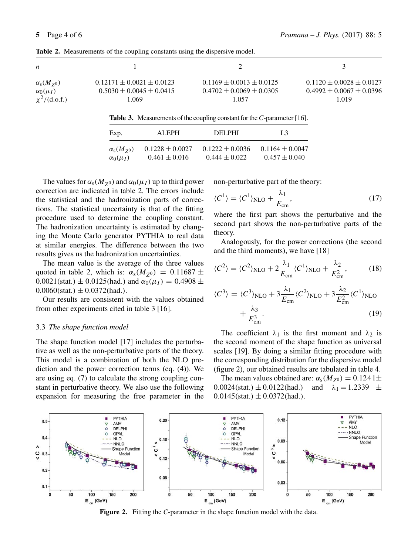| n                         |                                 |                                |                                |
|---------------------------|---------------------------------|--------------------------------|--------------------------------|
| $\alpha_{\rm s}(M_{Z^0})$ | $0.12171 \pm 0.0021 \pm 0.0123$ | $0.1169 \pm 0.0013 \pm 0.0125$ | $0.1120 \pm 0.0028 \pm 0.0127$ |
| $\alpha_0(\mu_I)$         | $0.5030 \pm 0.0045 \pm 0.0415$  | $0.4702 \pm 0.0069 \pm 0.0305$ | $0.4992 \pm 0.0067 \pm 0.0396$ |
| $\chi^2/(d.o.f.)$         | 1.069                           | 1.057                          | 1.019                          |
|                           |                                 |                                |                                |

**Table 2.** Measurements of the coupling constants using the dispersive model.

|  | <b>Table 3.</b> Measurements of the coupling constant for the $C$ -parameter [16]. |  |  |  |  |
|--|------------------------------------------------------------------------------------|--|--|--|--|
|--|------------------------------------------------------------------------------------|--|--|--|--|

| Exp.<br><b>DELPHI</b><br>ALEPH.<br>L3<br>$0.1164 \pm 0.0047$<br>$0.1222 \pm 0.0036$<br>$0.1228 \pm 0.0027$<br>$\alpha_{\rm s}(M_{Z^0})$<br>$0.457 \pm 0.040$<br>$0.461 \pm 0.016$<br>$\alpha_0(\mu_I)$<br>$0.444 \pm 0.022$ |  |  |
|-----------------------------------------------------------------------------------------------------------------------------------------------------------------------------------------------------------------------------|--|--|
|                                                                                                                                                                                                                             |  |  |
|                                                                                                                                                                                                                             |  |  |

The values for  $\alpha_s(M_{Z^0})$  and  $\alpha_0(\mu_I)$  up to third power correction are indicated in table 2. The errors include the statistical and the hadronization parts of corrections. The statistical uncertainty is that of the fitting procedure used to determine the coupling constant. The hadronization uncertainty is estimated by changing the Monte Carlo generator PYTHIA to real data at similar energies. The difference between the two results gives us the hadronization uncertainties.

The mean value is the average of the three values quoted in table 2, which is:  $\alpha_s(M_{z0}) = 0.11687 \pm$ 0.0021(stat.)  $\pm$  0.0125(had.) and  $\alpha_0(\mu_I) = 0.4908 \pm$  $0.0060(stat.) \pm 0.0372(had.).$ 

Our results are consistent with the values obtained from other experiments cited in table 3 [16].

#### 3.3 *The shape function model*

The shape function model [17] includes the perturbative as well as the non-perturbative parts of the theory. This model is a combination of both the NLO prediction and the power correction terms (eq. (4)). We are using eq. (7) to calculate the strong coupling constant in perturbative theory. We also use the following expansion for measuring the free parameter in the

non-perturbative part of the theory:

$$
\langle C^1 \rangle = \langle C^1 \rangle_{\text{NLO}} + \frac{\lambda_1}{E_{\text{cm}}},\tag{17}
$$

 $E_{cm}$ <br>where the first part shows the perturbative and the second part shows the non-perturbative parts of the theory.

Analogously, for the power corrections (the second and the third moments), we have [18]

$$
\langle C^2 \rangle = \langle C^2 \rangle_{\text{NLO}} + 2 \frac{\lambda_1}{E_{\text{cm}}} \langle C^1 \rangle_{\text{NLO}} + \frac{\lambda_2}{E_{\text{cm}}^2},\tag{18}
$$

$$
\langle C^3 \rangle = \langle C^3 \rangle_{\text{NLO}} + 3 \frac{\lambda_1}{E_{\text{cm}}} \langle C^2 \rangle_{\text{NLO}} + 3 \frac{\lambda_2}{E_{\text{cm}}^2} \langle C^1 \rangle_{\text{NLO}} + \frac{\lambda_3}{E_{\text{cm}}^3}.
$$
 (19)

The coefficient  $\lambda_1$  is the first moment and  $\lambda_2$  is the second moment of the shape function as universal scales [19]. By doing a similar fitting procedure with the corresponding distribution for the dispersive model (figure 2), our obtained results are tabulated in table 4.

The mean values obtained are:  $\alpha_s(M_{Z^0}) = 0.1241 \pm 0.024 \text{(stat.)} \pm 0.0122 \text{(had.)}$  and  $\lambda_1 = 1.2339 \pm 0.0122 \text{(had.)}$  $0.0024(stat.) \pm 0.0122(had.)$  $0.0145(stat.) \pm 0.0372(had.).$ 



**Figure 2.** Fitting the *C*-parameter in the shape function model with the data.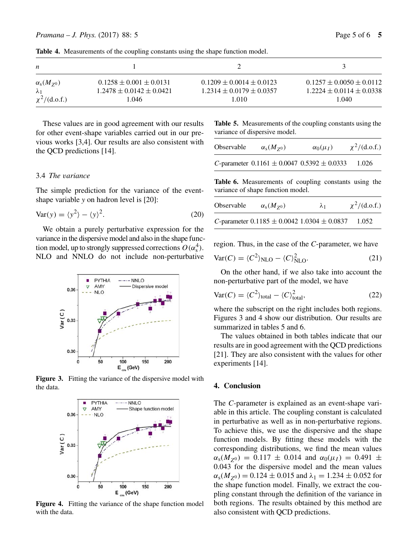**Table 4.** Measurements of the coupling constants using the shape function model.

| n                                        |                                                                 |                                                                  |                                                                  |
|------------------------------------------|-----------------------------------------------------------------|------------------------------------------------------------------|------------------------------------------------------------------|
| $\alpha_{\rm s}(M_{Z^0})$<br>$\lambda_1$ | $0.1258 \pm 0.001 \pm 0.0131$<br>$1.2478 \pm 0.0142 \pm 0.0421$ | $0.1209 \pm 0.0014 \pm 0.0123$<br>$1.2314 \pm 0.0179 \pm 0.0357$ | $0.1257 \pm 0.0050 \pm 0.0112$<br>$1.2224 \pm 0.0114 \pm 0.0338$ |
| $\chi^2/(d.o.f.)$                        | 1.046                                                           | 1.010                                                            | 1.040                                                            |

These values are in good agreement with our results for other event-shape variables carried out in our previous works [3,4]. Our results are also consistent with the QCD predictions [14].

# 3.4 *The* v*ariance*

The simple prediction for the variance of the eventshape variable *y* on hadron level is [20]:

$$
Var(y) = \langle y^2 \rangle - \langle y \rangle^2.
$$
 (20)

We obtain a purely perturbative expression for the variance in the dispersive model and also in the shape function model, up to strongly suppressed corrections  $O(\alpha_s^4)$ .<br>NI O and NNI O do not include non-perturbative NLO and NNLO do not include non-perturbative



Figure 3. Fitting the variance of the dispersive model with the data.



**Figure 4.** Fitting the variance of the shape function model with the data.

**Table 5.** Measurements of the coupling constants using the variance of dispersive model.

| Observable | $\alpha_{\rm s}(M_{Z^0})$                           | $\alpha_0(\mu_I)$ | $\chi^2/(d.o.f.)$ |
|------------|-----------------------------------------------------|-------------------|-------------------|
|            | C-parameter $0.1161 \pm 0.0047$ $0.5392 \pm 0.0333$ |                   | 1.026             |

**Table 6.** Measurements of coupling constants using the variance of shape function model.

| Observable | $\alpha_s(M_{70})$                                  | $\lambda_1$ | $\chi^2/(d.o.f.)$ |
|------------|-----------------------------------------------------|-------------|-------------------|
|            | C-parameter $0.1185 \pm 0.0042$ 1.0304 $\pm$ 0.0837 |             | 1.052             |

region. Thus, in the case of the *C*-parameter, we have

$$
Var(C) = \langle C^2 \rangle_{NLO} - \langle C \rangle_{NLO}^2.
$$
 (21)

On the other hand, if we also take into account the non-perturbative part of the model, we have

$$
Var(C) = \langle C^2 \rangle_{\text{total}} - \langle C \rangle_{\text{total}}^2,\tag{22}
$$

where the subscript on the right includes both regions. Figures 3 and 4 show our distribution. Our results are summarized in tables 5 and 6.

The values obtained in both tables indicate that our results are in good agreement with the QCD predictions [21]. They are also consistent with the values for other experiments [14].

### **4. Conclusion**

The *C*-parameter is explained as an event-shape variable in this article. The coupling constant is calculated in perturbative as well as in non-perturbative regions. To achieve this, we use the dispersive and the shape function models. By fitting these models with the corresponding distributions, we find the mean values  $\alpha_{s}(M_{Z^{0}}) = 0.117 \pm 0.014$  and  $\alpha_{0}(\mu_{I}) = 0.491 \pm 0.014$ 0.043 for the dispersive model and the mean values  $\alpha_s(M_{Z0}) = 0.124 \pm 0.015$  and  $\lambda_1 = 1.234 \pm 0.052$  for the shape function model. Finally, we extract the coupling constant through the definition of the variance in both regions. The results obtained by this method are also consistent with QCD predictions.